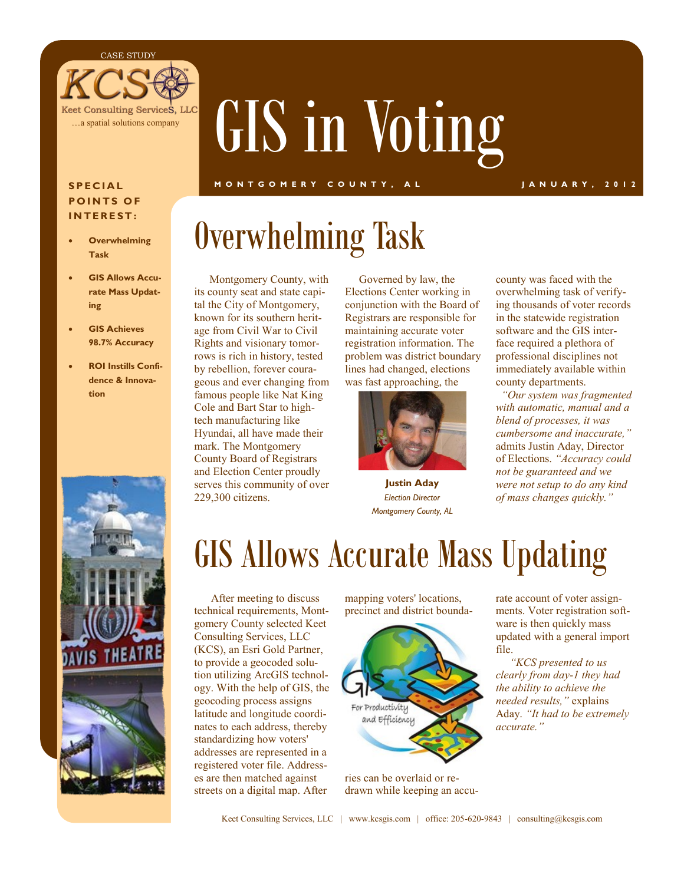#### CASE STUDY



Keet Consulting Services, LLC  $\overline{GIS}$  in  $\overline{V}$   $\overline{O}$ 

**SPECIAL A LUMBERY COUNTY, AL SPECIAL BURGERY, 2012** 

#### **POINTS OF I N T E R E S T :**

- **Overwhelming Task**
- **GIS Allows Accurate Mass Updating**
- **GIS Achieves 98.7% Accuracy**
- **ROI Instills Confidence & Innovation**





# Overwhelming Task

 Montgomery County, with its county seat and state capital the City of Montgomery, known for its southern heritage from Civil War to Civil Rights and visionary tomorrows is rich in history, tested by rebellion, forever courageous and ever changing from famous people like Nat King Cole and Bart Star to hightech manufacturing like Hyundai, all have made their mark. The Montgomery County Board of Registrars and Election Center proudly serves this community of over 229,300 citizens.

 Governed by law, the Elections Center working in conjunction with the Board of Registrars are responsible for maintaining accurate voter registration information. The problem was district boundary lines had changed, elections was fast approaching, the



**Justin Aday** *Election Director Montgomery County, AL*

county was faced with the overwhelming task of verifying thousands of voter records in the statewide registration software and the GIS interface required a plethora of professional disciplines not immediately available within county departments.

 *"Our system was fragmented with automatic, manual and a blend of processes, it was cumbersome and inaccurate,"*  admits Justin Aday, Director of Elections. *"Accuracy could not be guaranteed and we were not setup to do any kind of mass changes quickly."* 

### After meeting to discuss mapping voters' locations, precinct and district bounda-GIS Allows Accurate Mass Updating

technical requirements, Montgomery County selected Keet Consulting Services, LLC (KCS), an Esri Gold Partner, to provide a geocoded solution utilizing ArcGIS technology. With the help of GIS, the geocoding process assigns latitude and longitude coordinates to each address, thereby standardizing how voters' addresses are represented in a registered voter file. Addresses are then matched against streets on a digital map. After



ries can be overlaid or redrawn while keeping an accu-

rate account of voter assignments. Voter registration software is then quickly mass updated with a general import file.

 *"KCS presented to us clearly from day-1 they had the ability to achieve the needed results,"* explains Aday. *"It had to be extremely accurate."*